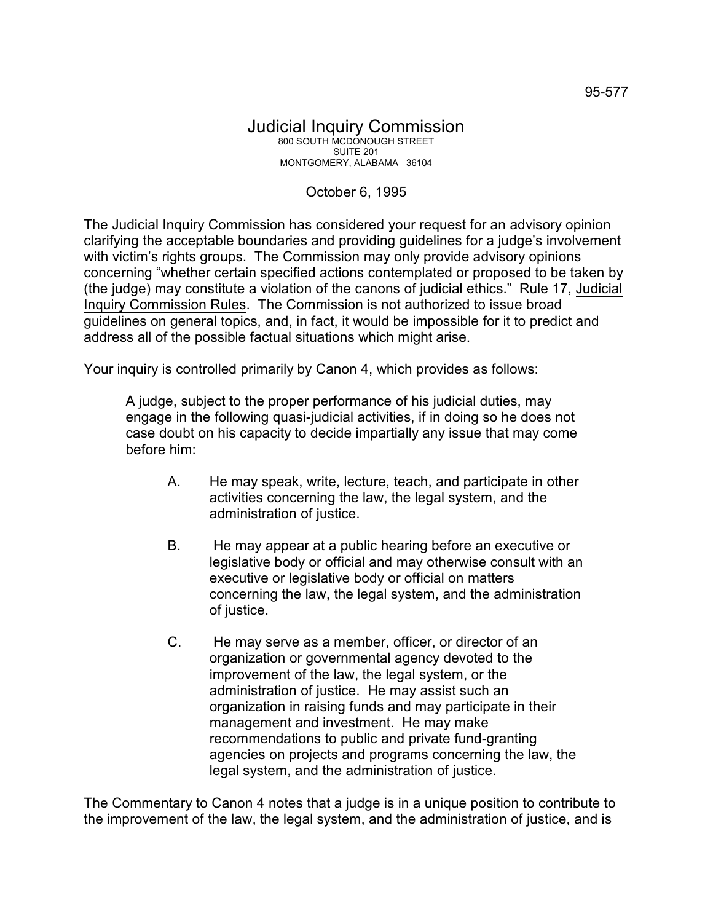## October 6, 1995

The Judicial Inquiry Commission has considered your request for an advisory opinion clarifying the acceptable boundaries and providing guidelines for a judge's involvement with victim's rights groups. The Commission may only provide advisory opinions concerning "whether certain specified actions contemplated or proposed to be taken by (the judge) may constitute a violation of the canons of judicial ethics." Rule 17, Judicial Inquiry Commission Rules. The Commission is not authorized to issue broad guidelines on general topics, and, in fact, it would be impossible for it to predict and address all of the possible factual situations which might arise.

Your inquiry is controlled primarily by Canon 4, which provides as follows:

A judge, subject to the proper performance of his judicial duties, may engage in the following quasi-judicial activities, if in doing so he does not case doubt on his capacity to decide impartially any issue that may come before him:

- A. He may speak, write, lecture, teach, and participate in other activities concerning the law, the legal system, and the administration of justice.
- B. He may appear at a public hearing before an executive or legislative body or official and may otherwise consult with an executive or legislative body or official on matters concerning the law, the legal system, and the administration of justice.
- C. He may serve as a member, officer, or director of an organization or governmental agency devoted to the improvement of the law, the legal system, or the administration of justice. He may assist such an organization in raising funds and may participate in their management and investment. He may make recommendations to public and private fund-granting agencies on projects and programs concerning the law, the legal system, and the administration of justice.

The Commentary to Canon 4 notes that a judge is in a unique position to contribute to the improvement of the law, the legal system, and the administration of justice, and is